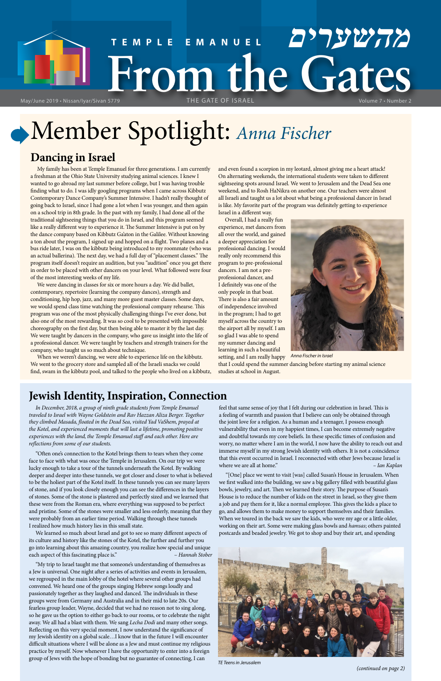# **TEMPLE EMANUEL מהשערים** May/June 2019 • Nissan/Iyar/Sivan 5779 THE GATE OF ISRAEL

# Member Spotlight: *Anna Fischer*

*(continued on page 2)*

# **Dancing in Israel**

My family has been at Temple Emanuel for three generations. I am currently a freshman at the Ohio State University studying animal sciences. I knew I wanted to go abroad my last summer before college, but I was having trouble finding what to do. I was idly googling programs when I came across Kibbutz Contemporary Dance Company's Summer Intensive. I hadn't really thought of going back to Israel, since I had gone a lot when I was younger, and then again on a school trip in 8th grade. In the past with my family, I had done all of the traditional sightseeing things that you do in Israel, and this program seemed like a really different way to experience it. The Summer Intensive is put on by the dance company based on Kibbutz Ga'aton in the Galilee. Without knowing a ton about the program, I signed up and hopped on a flight. Two planes and a bus ride later, I was on the kibbutz being introduced to my roommate (who was an actual ballerina). The next day, we had a full day of "placement classes." The program itself doesn't require an audition, but you "audition" once you get there in order to be placed with other dancers on your level. What followed were four of the most interesting weeks of my life.

We were dancing in classes for six or more hours a day. We did ballet, contemporary, repertoire (learning the company dances), strength and conditioning, hip hop, jazz, and many more guest master classes. Some days, we would spend class time watching the professional company rehearse. This program was one of the most physically challenging things I've ever done, but also one of the most rewarding. It was so cool to be presented with impossible choreography on the first day, but then being able to master it by the last day. We were taught by dancers in the company, who gave us insight into the life of a professional dancer. We were taught by teachers and strength trainers for the company, who taught us so much about technique.

When we weren't dancing, we were able to experience life on the kibbutz. We went to the grocery store and sampled all of the Israeli snacks we could find, swam in the kibbutz pool, and talked to the people who lived on a kibbutz, and even found a scorpion in my leotard, almost giving me a heart attack! On alternating weekends, the international students were taken to different sightseeing spots around Israel. We went to Jerusalem and the Dead Sea one weekend, and to Rosh HaNikra on another one. Our teachers were almost all Israeli and taught us a lot about what being a professional dancer in Israel is like. My favorite part of the program was definitely getting to experience Israel in a different way.

Overall, I had a really fun experience, met dancers from all over the world, and gained a deeper appreciation for professional dancing. I would really only recommend this program to pre-professional dancers. I am not a preprofessional dancer, and I definitely was one of the only people in that boat. There is also a fair amount of independence involved in the program; I had to get myself across the country to the airport all by myself. I am so glad I was able to spend my summer dancing and learning in such a beautiful setting, and I am really happy



# **Jewish Identity, Inspiration, Connection**

*In December, 2018, a group of ninth grade students from Temple Emanuel traveled to Israel with Wayne Goldstein and Rav Hazzan Aliza Berger. Together they climbed Masada, floated in the Dead Sea, visited Yad VaShem, prayed at the Kotel, and experienced moments that will last a lifetime, promoting positive experiences with the land, the Temple Emanuel staff and each other. Here are reflections from some of our students.*

"Often one's connection to the Kotel brings them to tears when they come face to face with what was once the Temple in Jerusalem. On our trip we were lucky enough to take a tour of the tunnels underneath the Kotel. By walking deeper and deeper into these tunnels, we got closer and closer to what is believed to be the holiest part of the Kotel itself. In these tunnels you can see many layers of stone, and if you look closely enough you can see the differences in the layers of stones. Some of the stone is plastered and perfectly sized and we learned that these were from the Roman era, where everything was supposed to be perfect and pristine. Some of the stones were smaller and less orderly, meaning that they were probably from an earlier time period. Walking through these tunnels I realized how much history lies in this small state.

We learned so much about Israel and got to see so many different aspects of its culture and history like the stones of the Kotel, the further and further you go into learning about this amazing country, you realize how special and unique each aspect of this fascinating place is." – *Hannah Stober*

that I could spend the summer dancing before starting my animal science studies at school in August. *Anna Fischer in Israel*

"My trip to Israel taught me that someone's understanding of themselves as a Jew is universal. One night after a series of activities and events in Jerusalem, we regrouped in the main lobby of the hotel where several other groups had convened. We heard one of the groups singing Hebrew songs loudly and passionately together as they laughed and danced. The individuals in these groups were from Germany and Australia and in their mid to late 20s. Our fearless group leader, Wayne, decided that we had no reason not to sing along, so he gave us the option to either go back to our rooms, or to celebrate the night away. We all had a blast with them. We sang *Lecha Dodi* and many other songs. Reflecting on this very special moment, I now understand the significance of my Jewish identity on a global scale…I know that in the future I will encounter difficult situations where I will be alone as a Jew and must continue my religious practice by myself. Now whenever I have the opportunity to enter into a foreign group of Jews with the hope of bonding but no guarantee of connecting, I can

feel that same sense of joy that I felt during our celebration in Israel. This is a feeling of warmth and passion that I believe can only be obtained through the joint love for a religion. As a human and a teenager, I possess enough vulnerability that even in my happiest times, I can become extremely negative and doubtful towards my core beliefs. In these specific times of confusion and worry, no matter where I am in the world, I now have the ability to reach out and immerse myself in my strong Jewish identity with others. It is not a coincidence that this event occurred in Israel. I reconnected with other Jews because Israel is where we are all at home." *– Ian Kaplan*

"[One] place we went to visit [was] called Susan's House in Jerusalem. When we first walked into the building, we saw a big gallery filled with beautiful glass bowls, jewelry, and art. Then we learned their story. The purpose of Susan's House is to reduce the number of kids on the street in Israel, so they give them a job and pay them for it, like a normal employee. This gives the kids a place to go, and allows them to make money to support themselves and their families. When we toured in the back we saw the kids, who were my age or a little older, working on their art. Some were making glass bowls and *hamsas*; others painted postcards and beaded jewelry. We got to shop and buy their art, and spending



*TE Teens in Jerusalem*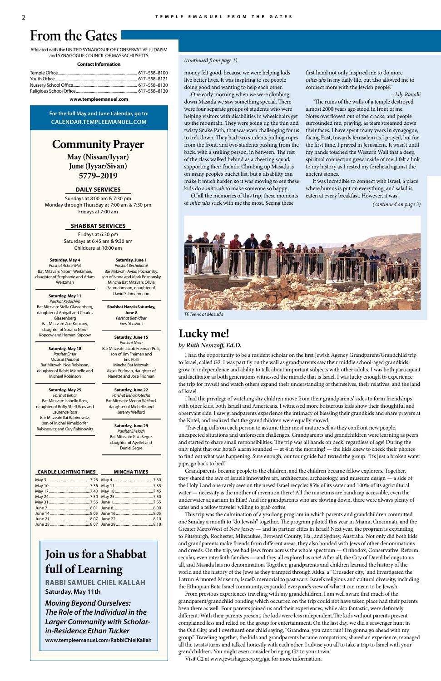# **Community Prayer**

**May (Nissan/Iyyar) June (Iyyar/Sivan) 5779–2019**

# **DAILY SERVICES**

Sundays at 8:00 am & 7:30 pm Monday through Thursday at 7:00 am & 7:30 pm Fridays at 7:00 am

# **SHABBAT SERVICES**

Fridays at 6:30 pm Saturdays at 6:45 am & 9:30 am Childcare at 10:00 am

Affiliated with the UNITED SYNAGOGUE OF CONSERVATIVE JUDAISM and SYNAGOGUE COUNCIL OF MASSACHUSETTS

### **Contact Information**

**www.templeemanuel.com**

**For the full May and June Calendar, go to: CALENDAR.TEMPLEEMANUEL.COM**

#### **CANDLE LIGHTING TIMES MINCHA TIMES** May 4 ............................................7:30

| June 7…………………………………………………………8:01 June 8……………………………………………………8:00 |  |
|-----------------------------------------------------------------|--|
| June 14 ……………………………………………………8:05 June 16 ……………………………………………8:05  |  |
|                                                                 |  |
|                                                                 |  |

# **From the Gates**

# **Lucky me!**

# *by Ruth Nemzoff, Ed.D.*

I had the opportunity to be a resident scholar on the first Jewish Agency Grandparent/Grandchild trip to Israel, called G2. I was part fly on the wall as grandparents saw their middle school-aged grandkids grow in independence and ability to talk about important subjects with other adults. I was both participant and facilitator as both generations witnessed the miracle that is Israel. I was lucky enough to experience the trip for myself and watch others expand their understanding of themselves, their relatives, and the land of Israel.

I had the privilege of watching shy children move from their grandparents' sides to form friendships with other kids, both Israeli and Americans. I witnessed more boisterous kids show their thoughtful and observant side. I saw grandparents experience the intimacy of blessing their grandkids and share prayers at the Kotel, and realized that the grandchildren were equally moved.

 Traveling calls on each person to assume their most mature self as they confront new people, unexpected situations and unforeseen challenges. Grandparents and grandchildren were learning as peers and started to share small responsibilities. The trip was all hands on deck, regardless of age! During the only night that our hotel's alarm sounded — at 4 in the morning! — the kids knew to check their phones to find out what was happening. Sure enough, our tour guide had texted the group: "It's just a broken water pipe, go back to bed."

Grandparents became people to the children, and the children became fellow explorers. Together, they shared the awe of Israel's innovative art, architecture, archaeology, and museum design — a side of the Holy Land one rarely sees on the news! Israel recycles 85% of its water and 100% of its agricultural water — necessity is the mother of invention there! All the museums are handicap accessible, even the underwater aquarium in Eilat! And for grandparents who are slowing down, there were always plenty of cafes and a fellow traveler willing to grab coffee.

This trip was the culmination of a yearlong program in which parents and grandchildren committed one Sunday a month to "do Jewish" together. The program piloted this year in Miami, Cincinnati, and the Greater MetroWest of New Jersey — and in partner cities in Israel! Next year, the program is expanding to Pittsburgh, Rochester, Milwaukee, Broward County, Fla., and Sydney, Australia. Not only did both kids and grandparents make friends from different areas, they also bonded with Jews of other denominations and creeds. On the trip, we had Jews from across the whole spectrum — Orthodox, Conservative, Reform, secular, even interfaith families — and they all explored as one! After all, the City of David belongs to us all, and Masada has no denomination. Together, grandparents and children learned the history of the world and the history of the Jews as they tramped through Akka, a "Crusader city," and investigated the Latrun Armored Museum, Israel's memorial to past wars. Israel's religious and cultural diversity, including the Ethiopian Beta Israel community, expanded everyone's view of what it can mean to be Jewish.

From previous experiences traveling with my grandchildren, I am well aware that much of the grandparent/grandchild bonding which occurred on the trip could not have taken place had their parents been there as well. Four parents joined us and their experiences, while also fantastic, were definitely different. With their parents present, the kids were less independent.The kids without parents present complained less and relied on the group for entertainment. On the last day, we did a scavenger hunt in the Old City, and I overheard one child saying, "Grandma, you can't run! I'm gonna go ahead with my group." Traveling together, the kids and grandparents became compatriots, shared an experience, managed all the twists/turns and talked honestly with each other. I advise you all to take a trip to Israel with your grandchildren. You might even consider bringing G2 to your town!

Visit G2 at www.jewishagency.org/gie for more information.

# **Join us for a Shabbat full of Learning**

**RABBI SAMUEL CHIEL KALLAH Saturday, May 11th**

*Moving Beyond Ourselves: The Role of the Individual in the Larger Community with Scholarin-Residence Ethan Tucker* **www.templeemanuel.com/RabbiChielKallah**

# *(continued from page 1)*

money felt good, because we were helping kids live better lives. It was inspiring to see people doing good and wanting to help each other.

One early morning when we were climbing down Masada we saw something special. There were four separate groups of students who were helping visitors with disabilities in wheelchairs get up the mountain. They were going up the thin and twisty Snake Path, that was even challenging for us to trek down. They had two students pulling ropes from the front, and two students pushing from the back, with a smiling person, in between. The rest of the class walked behind as a cheering squad, supporting their friends. Climbing up Masada is on many people's bucket list, but a disability can make it much harder, so it was moving to see these kids do a *mitzvah* to make someone so happy.

Of all the memories of this trip, these moments of *mitzvahs* stick with me the most. Seeing these

first hand not only inspired me to do more *mitzvahs* in my daily life, but also allowed me to connect more with the Jewish people."

### *– Lily Ranalli*

"The ruins of the walls of a temple destroyed almost 2000 years ago stood in front of me. Notes overflowed out of the cracks, and people surrounded me, praying, as tears streamed down their faces. I have spent many years in synagogue, facing East, towards Jerusalem as I prayed, but for the first time, I prayed in Jerusalem. It wasn't until my hands touched the Western Wall that a deep, spiritual connection grew inside of me. I felt a link to my history as I rested my forehead against the ancient stones.

It was incredible to connect with Israel, a place where humus is put on everything, and salad is eaten at every breakfast. However, it was

*(continued on page 3)*



**Saturday, May 4** *Parshat Achrei Mot* Bat Mitzvah: Naomi Weitzman, daughter of Stephanie and Adam Weitzman

**Saturday, May 11** *Parshat Kedoshim* Bat Mitzvah: Stella Glassenberg, daughter of Abigail and Charles Glassenberg Bat Mitzvah: Zoe Kopcow, daughter of Susana Nino-Kopcow and Hernan Kopcow

**Saturday, May 18** *Parshat Emor Musical Shabbat* Bat Mitzvah: Noa Robinson, daughter of Rabbi Michelle and Michael Robinson

**Saturday, May 25** *Parshat Behar* Bat Mitzvah: Isabelle Ross, daughter of Buffy Sheff Ross and Laurence Ross Bar Mitzvah: Ilai Rabinowitz, son of Michal Kimeldorfer Rabinowitz and Guy Rabinowitz

**Saturday, June 1** *Parshat Bechukotai* Bar Mitzvah: Aviad Poznansky, son of Ivona and Mark Poznansky Mincha Bat Mitzvah: Olivia Schmahmann, daughter of David Schmahmann

**Shabbat Hazak/Saturday, June 8** *Parshat Bemidbar* Erev Shavuot

**Saturday, June 15** *Parshat Naso* Bar Mitzvah: Jacob Freiman-Polli, son of Jim Freiman and Eric Polli Mincha Bat Mitzvah: Alexis Fridman, daughter of Nanette and Jose Fridman

**Saturday, June 22** *Parshat Beha'alotecha* Bat Mitzvah: Megan Welford, daughter of Michelle and Jeremy Welford

# **Saturday, June 29**

*Parshat Shelach* Bat Mitzvah: Gaia Segre, daughter of Ayellet and Daniel Segre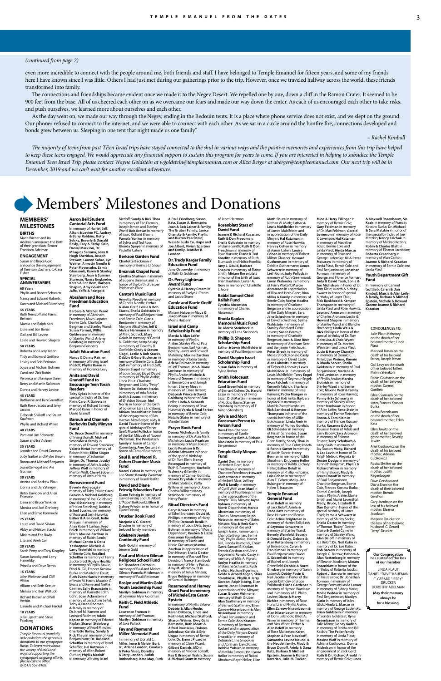

# **MEMBERS' MILESTONES**

### **BIRTHS**

Marla Wiener and Ira Adelman announce the birth of their grandson, Simon Francisco Adelman

### **ENGAGEMENT**

Susan and Bruce Gold announce the engagement<br>of their son, Zachary, to Cara Fisher **SPECIAL** 

#### **ANNIVERSARIES 60 Years**

Phyllis and Robert Schwartz Nancy and Edward Roberts Karen and Michael Rotenberg **55 YEARS** Ruth Nemzoff and Harris Berman Marcia and Ralph Kohl Dixie and Jon Borus Gail and Bill Levine Leslie and Howard Shapiro

**50 YEARS** Roberta and Larry Yellen Tildy and Edward Gottlieb

Dana and Bruce Yankne Monica and Joel Grinberg Ellen and Ernie Kornmehl

Lesley and Bob Perlman Joyce and Michael Bohnen Carol and Zick Rubin Veronica and Enrique Darer Betsy and Martin Solomon Donna and Harvey Levine **45 YEARS** Ruthanne and Ken Grundfast Ruth Rose-Jacobs and Jerry Jacobs Deborah Shilkoff and Stuart Kaufman Phyllis and Richard Wilker **40 YEARS**

Pam and Jim Schwartz Susan and Ira Vishner **35 YEARS** Jennifer and David Gorman

Judy Garber and Myles Brown Ronna and Michael Benjamin Jeanette Fogel and Avi Gusman

# **30 YEARS**

Anetta and Andrew Plaut Donna and Dan Stanger Betsy Davidow and Allen Feinstein

**Symmer Brezniak and in**<br>honor of the birth of Jasper Priebatsch Place **Cantor's Music Fund Annette Needle** in memory of Cecelia Needle; **Esther & Alan Greif, Leslie & Bob Stacks, Sheila Goldstein** in

### **25 YEARS**

Laura and David Silvian Abby and Nelson Stacks Miriam and Eric Bavly Lisa and Arieh Coll **20 YEARS**

Sarah Perry and Tony Kingsley Susan Janosky and Larry Hamelsky

Priscilla and Dave Remis

#### **15 YEARS**

John Weltman and Cliff Atkins

Allison and Seth Kessler Melissa and Ben Waltuck Richard Backer and Will Verbits

Danielle and Michael Hackel

#### **10 YEARS**

Julie Lipsett and Steve Feinberg

# **DONATIONS**

*Temple Emanuel gratefully acknowledges the generous donations to our synagogue funds. To learn more about the variety of funds and ways of supporting the synagogue's ongoing efforts, please call the office @ (617) 558-8100.*

Medoff; **Sandy & Rick Thau** in memory of Earl Forman, Joseph Isman and Stanley

**Dr. Theodore Colton** in memory of Paul and Miriam Gilman; **Pamela Mittleman** in memory of Paul Mittleman

**Charlotte Backman** in memory of Bernice D. Shoul **Brezniak Chapel Fund**

**Benjamin** in memory of Marjorie Altschuler; **Jeff &** 

**Golub** in memory of Gerald N. Goldstein; **Betty Selsky** in memory of Dorothy B. Gorfinkle; **Cindy & Steven Siagel, Leslie & Bob Stacks, Debbie & Gary Buchman** in

**Steven Siagel** in memory of Louis Siagel; **Lloyd David** in memory of Phyllis Arakie, Linda Plaut, Charlotte Bergman and Libby "Petty" Metson; **Dr. Robert Stacks** in memory of Ada Stacks; **Judith Strauss** in memory of Sheldon Strauss; **Mel Norris** in honor of the birth of Solomon Ezra Landzberg; **Miriam Rosenblatt** in honor of the engagement of Rav Hazzan Aliza Berger; **Judy &** 

Wand; **Bob Brown** in memory **Glenda Speyer** in memory of Paulette Cohen **& Paul Friedberg, Susan Katz, Susan A. Bernstein**; **Joan & Bob Lainer & family**; **The Gruber Family; Janice Chansky & Family; Phyllis and Burton Pearlstein; Wasabi Sushi Co, Hope and Joe Albert, Vivien Spertner and family, Jennifer R. London**

Weitzman; **The Priebatsch family** in honor of Cantor

**Saul B. and Naomi R.** 

**Fund**

**Cynthia Shulman** in memory of Eugene Brezniak and in of Ruth O. Goldm **Dr. Percy Lightman Award Fund**

**Joanne & Richard Kazarian, Ruth & Don Freedman, Sheila Goldstein** in memory of Elaine Smith; **Ruth & Don Freedman** in memory of Rose Hurwitz; **Diane & Ted Korelitz** in memory of Ruth<br>Blumsack and Halice Korelitz;

**Sidney Friedman** in honor of Diane Feinzig **Drucker Book Fund Marjorie & C. Gerard Drucker** in memory of

#### beloved family members **Edelstein Jewish Continuity Fund**

**Ruth Gold** in memory of Jerome Gold

#### **Paul and Miriam Gilman Religious School Fund**

memory of Paul Benjaminson and Bernie Cole; **Gloria Marcia Herrmann** in memory of Marc Slotnick; **Mary**  memory of Bernie Cole; **Dale Zaff** in memory of Fred Zaff; **Jakob Maya** in memory of Morris Halperin **Israel and Camp Scholarship Fund Marcia & Alan Leifer** in memory of Phyllis Arakie, Stanley Wand, Paul Benjaminson, Earl Forman, Beverly Jawitz and Edward Mahoney; **Maxine Zarchan** in memory of Edna Sands; **Arlene Fruman** in memory of Jeff Fruman; **Jon & Diane Levinson** in memory of Phyllis Arakie; **Michele & Howard Greene** in memory of Bernie Cole and Joseph Isman; **Sherry Moss** in memory of Claire Berson; **Deborah Prince & David Goldberg** in honor of Alan Leifer; **Linda & Kenneth Polivy** in memory of Rose

### **Roslyn and Martin Gold Youth Leadership Fund**

**Marilyn Goldman** in memory of Seymour Myer Goldman

#### **Keith C. Field Athletic Fund**

**Lawrence Fruman** in memory of Jeff Fruman; **Marilyn Goldman** in memory of Jake Pollack

#### **Fay and Raymond Miller Memorial Fund**

In memory of Donald C. Miller: **Irene & Melvin Burt, Jr., Arlene London, Candace & Peter Visco, Dorothy & Jerry London, Judith Rothenberg, Kate May, Ruth** 

#### **Dr. Trudy Karger Family Education Fund Jane Ostrowsky** in memory

#### **Cynthia & Harvey Creem** in memory of Evelyn I. Creem and Jacob Stone **Carole and Barrie Greiff Education Fund Miriam Halperin-Maya &**

**David Taub** in honor of the special birthday of Esther Greif; **Muriel Follick** in honor of the Bat Mitzvah of Naomi Rosemberg; **Ann Kostant** in honor of Cantor Rosemberg **Cohen Chamber Music Naomi Cohen** in memory of Leo Stone; **Beverly Zweiman** in memory of Israel Heafitz **Prayer Book Fund Donna Michelson & family** in memory of Dr. Alan Mark Michelson; **Lucile Pearlson** in memory of Myer Bokser; **Lucile Pearlson & Dr. Melvin Schwartz** in honor of the special birthday of Dr. Tom Klein; **Nancy Rosengard** in memory of Ruth S. Rosengard; **Rochelle Walensky & family** in memory of Carmel Gottlieb; **Steven Drysdale** in memory of Marc Slotnick; **Yaffa Willner** in memory of Joyce Chedva Willner; **Nancy Steinbock** in memory of Henry Poster **Ritual Director's Fund Caryn Kovacs** in memory of Ethel Bronstein; **David M. Phillips** in memory of Harry Phillips; **Deborah Benik** in memory of Louis Detz; **Joyce Bohnen** in memory of Morris Oppenheim; **Reuben & Lizzie Grossman Foundation** in memory of Lizzie and Nissie Grossman; **Maxine Zarchan** in appreciation of Dan Nesson; **Sheila Decter** in memory of Rachael Fine Davidson; **Nancy Steinbock** in memory of Henry Postar; **Amy M. Abramovitz** in memory of Julius Mintzer; **Bruce Rubinger** in memory of Samuel Rubinger

Hurwitz; **Varda & Neal Farber** in memory of Bernie Cole; **Natalie Slater** in memory of

Mandel Slater

**Rosamond and Harvey Grant Fund in memory of Michele Esta Grant-Epstein** In memory of Phyllis Sklover:

**Debbie & Allan Houle, Karen DiRocco, Linda and Keith Hall, Michael Stafford, Sharon Weiner, Evvy Galis Bernstein, Ruth Moatt & Alfred Rousseau, Dolores Selenkow; Goldie & Eric Ungar** in memory of Bernie Cole; **Dr. Ernest Picard** in memory of Claire Picard; **Gilbert Daniels, MD** in memory of Mildred Tolkoff; **Kay & Brendan Walsh, Susan & Michael Grant** in memory

of Janet Hartman **Rosenblatt Stars of David Fund**

> Carmel Gottlieb, Joseph Isman, Phyllis Arakie, Elaine Smith and Muriel Leventhal; **Mady, Bruce, Elizabeth & Dan Donoff** in honor of the special birthday of Janet Chiel; **Pamela Schwartz** in memory of Shirley Sacks; **Sheila Decter** in memory of Thomas "Buzzy" Decter; **Claire & Daniel Caine** in Gershon Gary Jacobson on the loss of his beloved mother, Eleanor Jacobson Marjorie Drucker on the loss of her beloved husband, C. Gerard nassana, er ee

**Amy J. Gould, Barbara Shapiro** in memory of Elaine Smith; **Miriam Rosenblatt**  in honor of the birth of Isaac<br>Brian Kaufman; Lester A. Brian Kaufman; **Lester A. Gore** in memory of Charlotte L. Gore

**Rabbi Samuel Chiel Kallah Fund Cynthia Abramson**

in memory of Charles Abramson **Rhoda Kaplan** 

**Memorial Music Fund Dr. Morris Steinbock** in memory of Lena Steinbock

**Phillip D. Shapero Scholarship Fund Esther & Lewis Muhlfelder** in memory of Paul Benjaminson

**David Shapiro Israel Scholarship Fund Susan Kahn** in memory of Sylvia Becker

# **Smith Holocaust Education Fund Carol Greenfield** in memory of Bernard Cohen; **Dr. Harold Lazar** in memory of Irving Lazar; **Didi Martin** in memory of Rudolp Baum; **Stanley**

**Steinberg** in memory of E. Milton Steinberg **Sylvia and Mort** 

## **Grossman Person to Person Fund Davi-Ellen Chabner** in memory of Estelle Rosenzweig; **Beth & Richard Blankstein** in memory of Paul Benjaminson

**Temple Daily Minyan Fund**

of Isaac Richard Brown; **Pamela Yunker** in memory of Sylvia and Ted Ross; **Berkson Garden Fund Alkon & Levine PC, Audrey & Barry Robbins, Betty Selsky, Beverly & Donald Bavly, Cary & Kathy Klein, Daniel Markson, Dr. Milagros Serrano, Joan &** 

> **Daniel Dern** in memory of Herbert Dern; **Don Freedman** in memory of Charlotte Freedman; **Howard Guthermann** in memory of Herbert Mass; **Jeffrey Wolf & family** in memory of Cyrill Wolf; **Joan Mael** in memory of Paul Benjaminson and in appreciation of the Temple Daily Minyan; **Joyce Bohnen** in memory of Morris Oppenheim; **Marcie Abramson** in memory of Charles Abramson; **Ralph Metson** in memory of Bates Metson; **Rita & Herb Gann** in memory of Rae and Joseph Gann, Fannie Gann, Charlotte Bergman, Bernie Cole, Phyllis Arakie, Harriet Bell, Fredda Raimondi, Chaim Gann, Samuel E. Kaplan,<br>Brenda Gershon and Anna Rogozinski; **Ronald Casty** in memory of Mila A. Vignati; **Roslyn Heafitz** in memory of Blanche Schwartz; **Ruth Ehrlich, Nathan Elgerman, Golda & Arnold Kagan, Shira Starobinski, Phyllis & Jerry Gordon, Ralph Isberg, Ellen Jawitz, Janet Silverman** in appreciation of the Minyan; **Susan Gruber Vishner** in memory of Ruth Gruber; **Alan Szathmary** in memory of Bernard Szathmary; **Ellen Zarrow-Nissenbaum & Alan Nissenbaun** in memory of Paul Benjaminson and Bernie Cole; **Ann Kostant** in memory of Bertram Kostant and in appreciation of the Daily Minyan; **David Smookler** in memory of Deborah Cline Smookler and Abraham David Cline; **Debbie Yoburn** in memory of Matilda Simons; **Dr. Lynne Heller** in memory of Rabbi Abraham Mayer Heller; **Ellen**

**David and Diane Feinzig Education Fund Diane Feinzig** in memory of David Feinzig and Dr. Albert J. "Abbe" Berkowitz; **Ellen &**  memory of Toby Palasz; **Carol Gerwin & Michael Goldberg** in memory of Joel Goldberg; **David Steinberg** in memory

# **Temple Emanuel**

**Math-Shute** in memory of Nathan W. Math; **Esther & Lewis Muhlfelder** in memory of James Muhlfelder and in appreciation of the Daily Minyan; **Hal Katzman** in memory of Rose Hurwitz; **Harvey Cohen** in memory of Aaron Cohen; **Louise Cohen** in memory of Robert Milton Glassner; **Howard Guthermann** in memory of Debbie Guthermann; **James Schwartz** in memory of<br>Leah Golin; **Judy Pollack** in<br>memory of Ruth Greenwood; **Loren Walensky** in memory of Harry Woltoff; **Marcie Abramson** in appreciation of Rita and Herb Gann; **Rina Miller & family** in memory of Bernie Cole; **Roslyn Heafitz** in memory of Charlotte Bergman and in appreciation of the Daily Minyan; **Sara Jane Schechner** in memory of David Schechner; **Selma Waldstein** in memory of Stanley Wand and Carrie Levens; **Susan Permut** in memory of Charlotte Bergman; **Joan & Dino Beer** in memory of Abraham Beer and Benjamin Fleischauer; **Peter Strock** in memory of Moses Strock; **Ronald Casty** in memory of David Casty; **Alan Lobovits** in memory of Deborah Lobovits; **Lewis Muhlfelder Jr.** in memory of Lewis Muhlfelder; **Terry Engel** in memory of Seymour Engel; **Evan Falchuk** in memory of Kenneth Falchuk; **Sharlene Finkel** in memory of Israel Kamens; **Pedro Morgan** in honor of Rob Finke; **Barbara Poplack** in memory of Matilda Zwetchkenbaum; **Rick Bankhead & Kemper Thompson** in honor of the special birthday of Willie Goldwasser; **Linda Amir** in memory of Murray Gorelick; **Eli Schneider** in memory of Hirsch Schneider; **Susan Bergman** in honor of the Gann family; **Sandy Thau** in memory of Elsie Cohn; **Rhoda & Ronnie Sarver** in memory of Judith Sarver; **Henry Berman** in memory of Edith Shoolman; **Dr. Lynne Heller** in memory of Rabbi Zachary Heller; **Esther Beloff** in memory of Phillip Fishbane; **Lois Cohen** in memory of Alan E. Cohen; **Molly-Jane Rubinger** in memory of Helen S. Isaacson **General Fund Alan Beloff** in memory of Jack Beloff; **Ariela & Dana Katz** in memory of Rose Hurwitz and Bernie Cole; **Arline Brightman** in memory of Harriet Bell; **Beth & Seymour Schwartz** in memory of Stanley Wand; **Beverly Weinfeld, Beverly & Donald Bavly, Debora & Alan Rottenberg** in memory of Bernie Cole; **Caren & Dan Kimball** in memory of Paul Benjaminson; **David S. Greenfield** in memory of Rachel and Joseph Greenfield; **Debbie & Norm Ginsberg** in memory of Sarah Lasovick; **Debby Posin & Neil Jacobs** in honor of the special birthday of Bruce Polishook; **Diane Gardener** in memory of Hyman Warshaw and in memory of E. Philip Levine; **Diane & Marty Richler** in memory of Rose Hurwitz and Phyllis Arakie; **Ellen Zarrow-Nissenbaum & Alan Nissenbaum** in memory of Doris Lelchook; **Elliot A. Winer** in memory of Thelma and Max Winer; **Esther & Alan Beloff** in memory of Rose Maltzman; **Karen, Stephen & Fran Novakoff, Samantha Levine Neudel & the Neudel family, Mady & Bruce Donoff, Ariela & Dana Katz, Barbara & Michael Epstein, Joanne & Richard Kazarian, Julia M. Tucker,**  memory of Stanley Wand; **Alan Beloff** in memory of<br>Ida Beloff; **Dr. Neil Kutin** in<br>memory of Dr. Eve Kutin; **Bob Barrow** in memory of Joseph G. Barrow; **Debora & Alan Rottenberg** in memory of Eleanor Jacobson; **Miriam Rosenblatt** in honor of the birthday of Roberta Jacobs; **Robert J. Barrow** in memor of Triss Barrow; **Dr. Jonathan Forman** in memory of George Forman; **Leslie Lerner** in memory of Sidney Marks; **Mollie Peddar** in memory of Paul Benjaminson; **Marilyn Kutin** in memory of Jules Glick; **Hinda L. Marcus** in memory of George Ludensky; **Brian Goldstein** in memory of Sondra Goldstein; **Ryna Greenbaum** in memory of Julie Miron; **Sidney Kadish** in memory of Freida and Bill Kadish; **The Peller family** in memory of Linda Plaut; **Maxine Wolf** in memory of Adriana Cudkowicz; **Donna Michelson** in honor of the engagement of Zack Gold; **Ruth & Dr. Richard Arnold** in memory of Bernie Cole; **Linda** 

of Alan Leifer; **Rene Stein** in memory of Fannie Fleischer; **Ronna & Tom Klein** in memory of Frances Kossow Burka; **Rosanne & Andy Kauss** in honor of Adele and Larry Bacow; **Sara Aronson** in memory of Shlomo Posner; **Terry Schubach & Larry Gelb** in memory of Jay Sasson; **Vicky, Richard & Lee Levin** in honor of Dr. Ralph Metson; **Virginia & Dexter Dodge** in memory of Kenneth Benjamin; **Phyllis & Richard Wilker** in memory of Harry Bloom; **Mady & Bruce Donoff** in memory of Paul Benjaminson, Charlotte Bergman, Bernie Cole, Frances Kossow Burka,

**Aaron Bell Student Cantorial Arts Fund** In memory of Harriet Bell:

**Hugh Sheridan, Joseph Stewart, Lauren Suhre, Lyn Weiner, Annette Needle & Peter Meyersohn, Samia Ghossoub, Karen & Stanley Steinberg, Joan & Sumner Sturman, Nancy Englander, Karen & Eric Bern, Barbara Shapiro, Amy Gould and Jaffe, Yaffe & Feingold**

### **Abraham and Rose Freedman Education**

**Mina & Harry Tillinger** in memory of Bernie Cole;<br>**Gary Feldman** in memory of Dr. Max Feldman; **Gerald Levenson** in memory of Rose Y. Levenson; **Hal Katzman**  in memory of Madeline Foust, Bernie Cole and Linda Plaut; **Hinda Marcus** in memory of Rose and George Ludensky; **Jill & Peter Matusow** in memory of Linda Plaut, Bernie Cole and Paul Benjaminson; **Jonathan Forman** in memory of George and Florence Forman; **Judy & David Taub, Sonia & Joe Michelson** in honor of Dr. Tom Klein; **Judith & Sidney Swartz** in honor of special birthday of Janet Chiel; **Rick Bankhead & Kemper Thompson** in memory of<br>Linda Plaut and Rose Hurwitz; **Leonard Aronson** in memory of Charles Aronson; **Leslie & Howard Shapiro** in memory of Stanley Wand and Blanche Hochberg; **Linda Weis & Dick Phillips** in honor of the special birthday of Dr. Tom Klein; **Lisa & Chris Wyett** in memory of Dr. Morton Weinstein and Linda Plaut; **Lucie & Harvey Chansky** in memory of Donald C. Miller; **Lyn Weiner, Ronnie & Rhoda Sarver, Sheila Goldstein** in memory of Paul Benjaminson; **Marlene & Fred Levinson** in memory of Phyllis Arakie; **Marsha Slotnick** in memory of Stanley Wand and Bernie Cole; **Maxine Wolf & family** in memory of Rose Hurwitz; **Penny & Sy Schwartz** in memory of Stanley Wand; **Peter Birnbaum** in honor **CONDOLENCES TO: & Maxwell Rosenbaum, Sis Fund**

**Fund Barbara & Mitchell Wand** in memory of Abraham Freedman, Mavis Lopater, Bernie Cole, Charlotte Bergman and Stanley Wand; **Susan Permut, Willie Goldwasser** in memory of Stanley Wand; Arlen **Feinberg** in memory of Benjamin Feinberg

# **Adult Education Fund Nancy & Danny Paisner** in memory of Irving Israel Medoff; **Phyllis Baron** in memory of Florence Levy

#### **Anita and David Granoff Fund to Encourage Teen Torah Readers**

**Toby Sykes** in honor of the special birthday of Dr. Tom Klein; **Carol R. Saivetz** in memory of Richard Saivetz; **Margot Kann** in honor of David Granoff **Barouh and Channah** 

### **Berkovits Daily Minyan Fund**

**Dr. Bruce Donoff** in memory of Irving Donoff; **Michael Smookler & family** in memory of Edward Smookler; **Valerie Kiviat** in memory of Robert Kiviat; **Elliot Singer** in memory of Solomon Singer; **Dr. Thomas Jacoby** in memory of John Jacoby; **Jeffrey Wolf** in memory of Merton Wolf; **Cheryl Sober** in memory of Arthur Harris

#### **Bereavement Fund Beverly Andreozzi** in

of Helen Steinberg; **Debbie & Joel Sussman** in memory of Rose and Josh Hurwitz; **Esther & Alan Greif, Judie Strauss** in memory of Allan Robert Curhan; **Fred Erlich** in memory of William Erlich; **Maxine Zarchan** in memory of Rubin Sands; **Michael Cantor & Dalia Yasharpour, Michele & Larry Weinfeld** in memory of Bernie Cole; **Rosalind Scheffler** in memory of Fanny Zuckerbrod; **Roslyn Heafitz** in memory of Phyllis Arakie, Ethel N. Gill, Frances Kossow Burka and Madeline Foust; **Ruth Evans Harris** in memory of Irwin M. Harris, Maurice G. Evans and Kevie and Nettie Carmen; **Sally Braunstein** in memory of Harriette Edith Cohn; **Joan Ackerstein** in memory of Josephine Seitel; **Toby & Dean Rodman & family** in memory of Dr. Israel M. Kamens and Leonard Rodman; **Adele Kaplan** in memory of Edward Kaplan; **Sharon Steinberg** in memory of Pearl Mindlin; **Charlotte Bailey, Sandy & Rick Thau** in memory of Paul Benjaminson; **Dr. Rosalind** 

**Scheffler** in memory of Israel Scheffler; **Hal Katzman** in memory of Allan Robert Curhan; **Phyllis Medoff** in memory of Irving Israel

Julie Plaut Mahoney on the death of her beloved mother, Linda Plaut Marshall Isman on the death of his beloved father, Joseph Isman Gail Levy on the death of her beloved father, Melvin Steinkohl Robin Goldstein on the death of her beloved mother, Carmel Gottlieb Eileen Samuels on the death of her beloved sister, Frances Kossow Burka Debra Berenbaum on the death of her beloved mother, Edith Katz Ellen Jawitz on the death of her beloved grandmother, Beverly Jawitz Ariel Cudkowicz on the

death of his beloved mother, Adriana Cudkowicz

Rosita Shtifter on the death of her beloved mother, Judith Regenbogen

Dave Gershon and Diana Erani on the death of their beloved mother, Brenda

# **Our Congregation has sustained the loss of our member**

LINDA PLAUT DANIEL "DAVE" KAUFMAN C. GERARD "JERRY" DRUCKER DOROTHY ADELMAN **May their memory always be for a blessing.**

#### **Kazis** in memory of Frances Kossow Burka; **Dr. Michael & Sara Matzkin** in honor of the special birthday of Joe Matzkin; **Nancy Falchuk** in memory of Mildred Kozinn; **Robin & Charles Blatt** in memory of Eleanor Jacobson; **Roberta Greenberg** in memory of Alan Cantor; **Joanne & Richard Kazarian** in memory of Bernie Cole and Linda Plaut

# **Youth Department Gift**

In memory of Carmel Gottlieb: **Caren & Dan Kimball, Marcia & Alan Leifer & family, Barbara & Michael Epstein, Michele & Howard Greene Joanne & Richard Kazarian**

even more incredible to connect with the people around me, both friends and staff. I have belonged to Temple Emanuel for fifteen years, and some of my friends here I have known since I was little. Others I had just met during our gatherings prior to the trip. However, once we traveled halfway across the world, these friends transformed into family.

The connections and friendships became evident once we made it to the Negev Desert. We repelled one by one, down a cliff in the Ramon Crater. It seemed to be 900 feet from the base. All of us cheered each other on as we overcame our fears and made our way down the crater. As each of us encouraged each other to take risks, and push ourselves, we learned more about ourselves and each other.

As the day went on, we made our way through the Negev, ending in the Bedouin tents. It is a place where phone service does not exist, and we slept on the ground. Our phones refused to connect to the internet, and we were able to connect with each other. As we sat in a circle around the bonfire fire, connections developed and bonds grew between us. Sleeping in one tent that night made us one family."

*– Rachel Kimball*

*The majority of teens from past TEen Israel trips have stayed connected to the shul in various ways and the positive memories and experiences from this trip have helped to keep these teens engaged. We would appreciate any financial support to sustain this program for years to come. If you are interested in helping to subsidize the Temple Emanuel Teen Israel Trip, please contact Wayne Goldstein at wgoldstein@templeemanuel.com or Aliza Berger at aberger@templeemanuel.com. Our next trip will be in December, 2019 and we can't wait for another excellent adventure.*

# *(continued from page 2)*